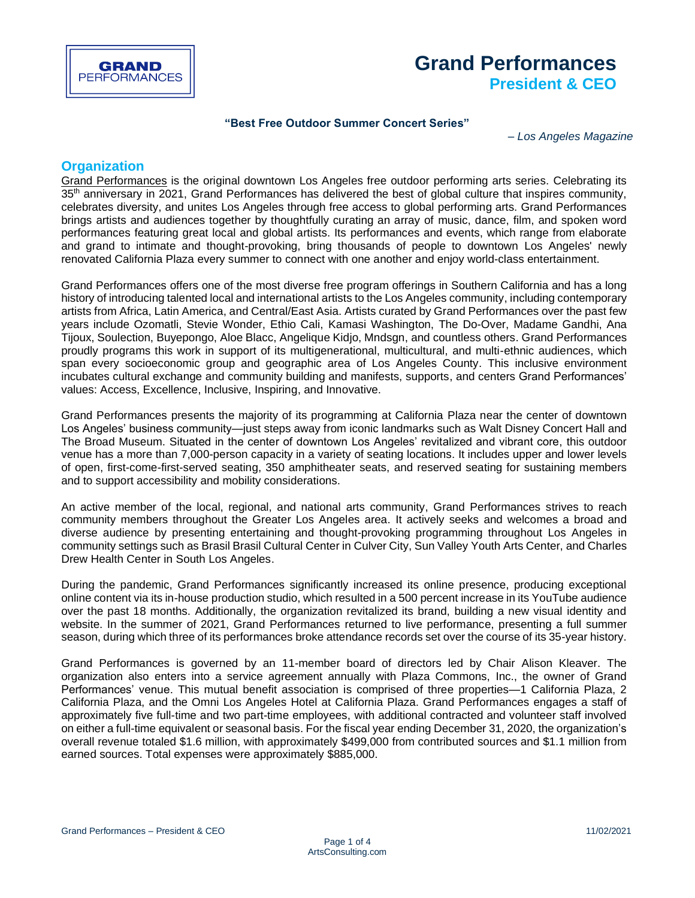

# **Grand Performances President & CEO**

### **"Best Free Outdoor Summer Concert Series"**

– *Los Angeles Magazine*

# **Organization**

[Grand Performances](https://www.grandperformances.org/) is the original downtown Los Angeles free outdoor performing arts series. Celebrating its 35<sup>th</sup> anniversary in 2021, Grand Performances has delivered the best of global culture that inspires community, celebrates diversity, and unites Los Angeles through free access to global performing arts. Grand Performances brings artists and audiences together by thoughtfully curating an array of music, dance, film, and spoken word performances featuring great local and global artists. Its performances and events, which range from elaborate and grand to intimate and thought-provoking, bring thousands of people to downtown Los Angeles' newly renovated California Plaza every summer to connect with one another and enjoy world-class entertainment.

Grand Performances offers one of the most diverse free program offerings in Southern California and has a long history of introducing talented local and international artists to the Los Angeles community, including contemporary artists from Africa, Latin America, and Central/East Asia. Artists curated by Grand Performances over the past few years include Ozomatli, Stevie Wonder, Ethio Cali, Kamasi Washington, The Do-Over, Madame Gandhi, Ana Tijoux, Soulection, Buyepongo, Aloe Blacc, Angelique Kidjo, Mndsgn, and countless others. Grand Performances proudly programs this work in support of its multigenerational, multicultural, and multi-ethnic audiences, which span every socioeconomic group and geographic area of Los Angeles County. This inclusive environment incubates cultural exchange and community building and manifests, supports, and centers Grand Performances' values: Access, Excellence, Inclusive, Inspiring, and Innovative.

Grand Performances presents the majority of its programming at California Plaza near the center of downtown Los Angeles' business community—just steps away from iconic landmarks such as Walt Disney Concert Hall and The Broad Museum. Situated in the center of downtown Los Angeles' revitalized and vibrant core, this outdoor venue has a more than 7,000-person capacity in a variety of seating locations. It includes upper and lower levels of open, first-come-first-served seating, 350 amphitheater seats, and reserved seating for sustaining members and to support accessibility and mobility considerations.

An active member of the local, regional, and national arts community, Grand Performances strives to reach community members throughout the Greater Los Angeles area. It actively seeks and welcomes a broad and diverse audience by presenting entertaining and thought-provoking programming throughout Los Angeles in community settings such as Brasil Brasil Cultural Center in Culver City, Sun Valley Youth Arts Center, and Charles Drew Health Center in South Los Angeles.

During the pandemic, Grand Performances significantly increased its online presence, producing exceptional online content via its in-house production studio, which resulted in a 500 percent increase in its YouTube audience over the past 18 months. Additionally, the organization revitalized its brand, building a new visual identity and website. In the summer of 2021, Grand Performances returned to live performance, presenting a full summer season, during which three of its performances broke attendance records set over the course of its 35-year history.

Grand Performances is governed by an 11-member board of directors led by Chair Alison Kleaver. The organization also enters into a service agreement annually with Plaza Commons, Inc., the owner of Grand Performances' venue. This mutual benefit association is comprised of three properties—1 California Plaza, 2 California Plaza, and the Omni Los Angeles Hotel at California Plaza. Grand Performances engages a staff of approximately five full-time and two part-time employees, with additional contracted and volunteer staff involved on either a full-time equivalent or seasonal basis. For the fiscal year ending December 31, 2020, the organization's overall revenue totaled \$1.6 million, with approximately \$499,000 from contributed sources and \$1.1 million from earned sources. Total expenses were approximately \$885,000.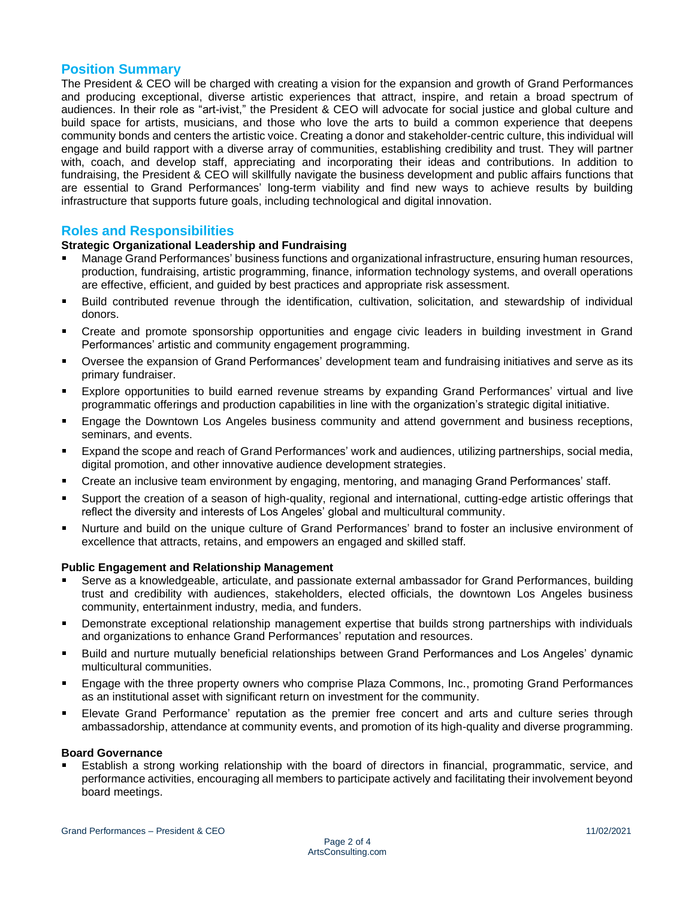# **Position Summary**

The President & CEO will be charged with creating a vision for the expansion and growth of Grand Performances and producing exceptional, diverse artistic experiences that attract, inspire, and retain a broad spectrum of audiences. In their role as "art-ivist," the President & CEO will advocate for social justice and global culture and build space for artists, musicians, and those who love the arts to build a common experience that deepens community bonds and centers the artistic voice. Creating a donor and stakeholder-centric culture, this individual will engage and build rapport with a diverse array of communities, establishing credibility and trust. They will partner with, coach, and develop staff, appreciating and incorporating their ideas and contributions. In addition to fundraising, the President & CEO will skillfully navigate the business development and public affairs functions that are essential to Grand Performances' long-term viability and find new ways to achieve results by building infrastructure that supports future goals, including technological and digital innovation.

# **Roles and Responsibilities**

### **Strategic Organizational Leadership and Fundraising**

- Manage Grand Performances' business functions and organizational infrastructure, ensuring human resources, production, fundraising, artistic programming, finance, information technology systems, and overall operations are effective, efficient, and guided by best practices and appropriate risk assessment.
- Build contributed revenue through the identification, cultivation, solicitation, and stewardship of individual donors.
- Create and promote sponsorship opportunities and engage civic leaders in building investment in Grand Performances' artistic and community engagement programming.
- Oversee the expansion of Grand Performances' development team and fundraising initiatives and serve as its primary fundraiser.
- Explore opportunities to build earned revenue streams by expanding Grand Performances' virtual and live programmatic offerings and production capabilities in line with the organization's strategic digital initiative.
- Engage the Downtown Los Angeles business community and attend government and business receptions, seminars, and events.
- Expand the scope and reach of Grand Performances' work and audiences, utilizing partnerships, social media, digital promotion, and other innovative audience development strategies.
- Create an inclusive team environment by engaging, mentoring, and managing Grand Performances' staff.
- Support the creation of a season of high-quality, regional and international, cutting-edge artistic offerings that reflect the diversity and interests of Los Angeles' global and multicultural community.
- Nurture and build on the unique culture of Grand Performances' brand to foster an inclusive environment of  $\blacksquare$ excellence that attracts, retains, and empowers an engaged and skilled staff.

### **Public Engagement and Relationship Management**

- Serve as a knowledgeable, articulate, and passionate external ambassador for Grand Performances, building trust and credibility with audiences, stakeholders, elected officials, the downtown Los Angeles business community, entertainment industry, media, and funders.
- Demonstrate exceptional relationship management expertise that builds strong partnerships with individuals and organizations to enhance Grand Performances' reputation and resources.
- Build and nurture mutually beneficial relationships between Grand Performances and Los Angeles' dynamic multicultural communities.
- Engage with the three property owners who comprise Plaza Commons, Inc., promoting Grand Performances as an institutional asset with significant return on investment for the community.
- Elevate Grand Performance' reputation as the premier free concert and arts and culture series through ambassadorship, attendance at community events, and promotion of its high-quality and diverse programming.

#### **Board Governance**

Establish a strong working relationship with the board of directors in financial, programmatic, service, and performance activities, encouraging all members to participate actively and facilitating their involvement beyond board meetings.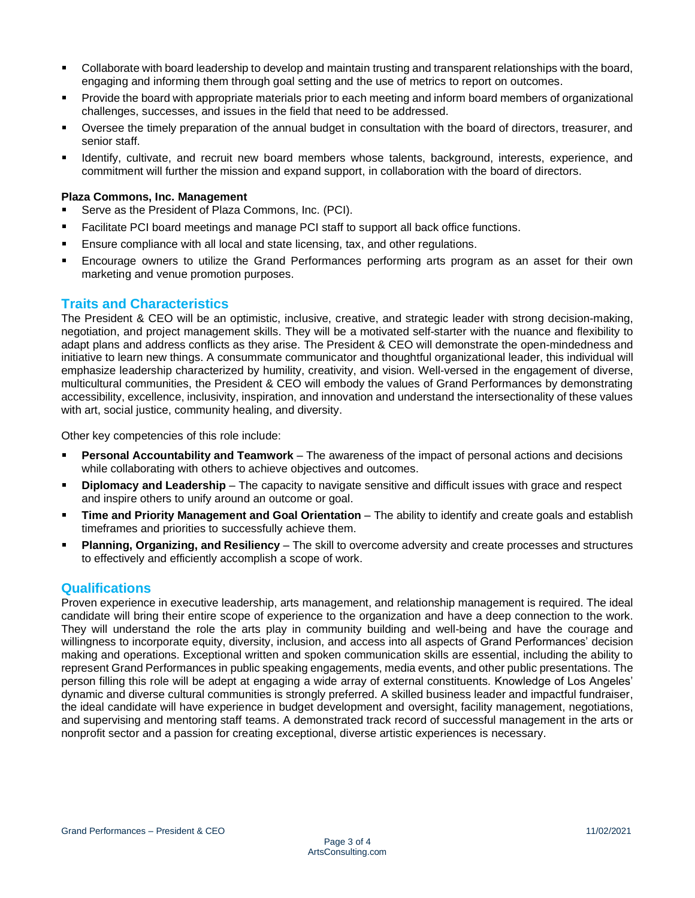- Collaborate with board leadership to develop and maintain trusting and transparent relationships with the board, engaging and informing them through goal setting and the use of metrics to report on outcomes.
- Provide the board with appropriate materials prior to each meeting and inform board members of organizational  $\blacksquare$ challenges, successes, and issues in the field that need to be addressed.
- Oversee the timely preparation of the annual budget in consultation with the board of directors, treasurer, and  $\blacksquare$ senior staff.
- Identify, cultivate, and recruit new board members whose talents, background, interests, experience, and commitment will further the mission and expand support, in collaboration with the board of directors.

### **Plaza Commons, Inc. Management**

- Serve as the President of Plaza Commons, Inc. (PCI).
- Facilitate PCI board meetings and manage PCI staff to support all back office functions.
- Ensure compliance with all local and state licensing, tax, and other regulations.
- Encourage owners to utilize the Grand Performances performing arts program as an asset for their own marketing and venue promotion purposes.

## **Traits and Characteristics**

The President & CEO will be an optimistic, inclusive, creative, and strategic leader with strong decision-making, negotiation, and project management skills. They will be a motivated self-starter with the nuance and flexibility to adapt plans and address conflicts as they arise. The President & CEO will demonstrate the open-mindedness and initiative to learn new things. A consummate communicator and thoughtful organizational leader, this individual will emphasize leadership characterized by humility, creativity, and vision. Well-versed in the engagement of diverse, multicultural communities, the President & CEO will embody the values of Grand Performances by demonstrating accessibility, excellence, inclusivity, inspiration, and innovation and understand the intersectionality of these values with art, social justice, community healing, and diversity.

Other key competencies of this role include:

- **Personal Accountability and Teamwork** The awareness of the impact of personal actions and decisions while collaborating with others to achieve objectives and outcomes.
- **Diplomacy and Leadership** The capacity to navigate sensitive and difficult issues with grace and respect and inspire others to unify around an outcome or goal.
- **Time and Priority Management and Goal Orientation** The ability to identify and create goals and establish timeframes and priorities to successfully achieve them.
- **Planning, Organizing, and Resiliency** The skill to overcome adversity and create processes and structures to effectively and efficiently accomplish a scope of work.

# **Qualifications**

Proven experience in executive leadership, arts management, and relationship management is required. The ideal candidate will bring their entire scope of experience to the organization and have a deep connection to the work. They will understand the role the arts play in community building and well-being and have the courage and willingness to incorporate equity, diversity, inclusion, and access into all aspects of Grand Performances' decision making and operations. Exceptional written and spoken communication skills are essential, including the ability to represent Grand Performances in public speaking engagements, media events, and other public presentations. The person filling this role will be adept at engaging a wide array of external constituents. Knowledge of Los Angeles' dynamic and diverse cultural communities is strongly preferred. A skilled business leader and impactful fundraiser, the ideal candidate will have experience in budget development and oversight, facility management, negotiations, and supervising and mentoring staff teams. A demonstrated track record of successful management in the arts or nonprofit sector and a passion for creating exceptional, diverse artistic experiences is necessary.